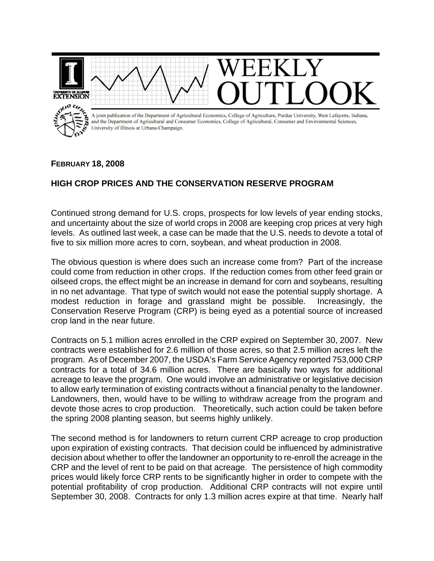

## **FEBRUARY 18, 2008**

## **HIGH CROP PRICES AND THE CONSERVATION RESERVE PROGRAM**

Continued strong demand for U.S. crops, prospects for low levels of year ending stocks, and uncertainty about the size of world crops in 2008 are keeping crop prices at very high levels. As outlined last week, a case can be made that the U.S. needs to devote a total of five to six million more acres to corn, soybean, and wheat production in 2008.

The obvious question is where does such an increase come from? Part of the increase could come from reduction in other crops. If the reduction comes from other feed grain or oilseed crops, the effect might be an increase in demand for corn and soybeans, resulting in no net advantage. That type of switch would not ease the potential supply shortage. A modest reduction in forage and grassland might be possible. Increasingly, the Conservation Reserve Program (CRP) is being eyed as a potential source of increased crop land in the near future.

Contracts on 5.1 million acres enrolled in the CRP expired on September 30, 2007. New contracts were established for 2.6 million of those acres, so that 2.5 million acres left the program. As of December 2007, the USDA's Farm Service Agency reported 753,000 CRP contracts for a total of 34.6 million acres. There are basically two ways for additional acreage to leave the program. One would involve an administrative or legislative decision to allow early termination of existing contracts without a financial penalty to the landowner. Landowners, then, would have to be willing to withdraw acreage from the program and devote those acres to crop production. Theoretically, such action could be taken before the spring 2008 planting season, but seems highly unlikely.

The second method is for landowners to return current CRP acreage to crop production upon expiration of existing contracts. That decision could be influenced by administrative decision about whether to offer the landowner an opportunity to re-enroll the acreage in the CRP and the level of rent to be paid on that acreage. The persistence of high commodity prices would likely force CRP rents to be significantly higher in order to compete with the potential profitability of crop production. Additional CRP contracts will not expire until September 30, 2008. Contracts for only 1.3 million acres expire at that time. Nearly half